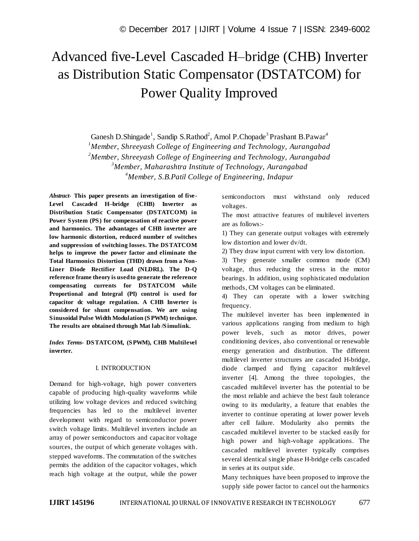# Advanced five-Level Cascaded H–bridge (CHB) Inverter as Distribution Static Compensator (DSTATCOM) for Power Quality Improved

Ganesh D.Shingade<sup>1</sup>, Sandip S.Rathod<sup>2</sup>, Amol P.Chopade<sup>3</sup> Prashant B.Pawar<sup>4</sup>

*<sup>1</sup>Member, Shreeyash College of Engineering and Technology, Aurangabad* 

*<sup>2</sup>Member, Shreeyash College of Engineering and Technology, Aurangabad*

*<sup>3</sup>Member, Maharashtra Institute of Technology, Aurangabad* 

*<sup>4</sup>Member, S.B.Patil College of Engineering, Indapur*

*Abstract*- **This paper presents an investigation of five-Level Cascaded H–bridge (CHB) Inverter as Distribution Static Compensator (DSTATCOM) in Power System (PS) for compensation of reactive power and harmonics. The advantages of CHB inverter are low harmonic distortion, reduced number of switches and suppression of switching losses. The DSTATCOM helps to improve the power factor and eliminate the Total Harmonics Distortion (THD) drawn from a Non-Liner Diode Rectifier Load (NLDRL). The D-Q reference frame theory is used to generate the reference compensating currents for DSTATCOM while Proportional and Integral (PI) control is used for capacitor dc voltage regulation. A CHB Inverter is considered for shunt compensation. We are using Sinusoidal Pulse Width Modulation (SPWM) technique. The results are obtained through Mat lab /Simulink.** 

*Index Terms***- DSTATCOM, (SPWM), CHB Multilevel inverter.**

# I. INTRODUCTION

Demand for high-voltage, high power converters capable of producing high-quality waveforms while utilizing low voltage devices and reduced switching frequencies has led to the multilevel inverter development with regard to semiconductor power switch voltage limits. Multilevel inverters include an array of power semiconductors and capacitor voltage sources, the output of which generate voltages with. stepped waveforms. The commutation of the switches permits the addition of the capacitor voltages, which reach high voltage at the output, while the power semiconductors must withstand only reduced voltages.

The most attractive features of multilevel inverters are as follows:-

1) They can generate output voltages with extremely low distortion and lower dv/dt.

2) They draw input current with very low distortion.

3) They generate smaller common mode (CM) voltage, thus reducing the stress in the motor bearings. In addition, using sophisticated modulation methods, CM voltages can be eliminated.

4) They can operate with a lower switching frequency.

The multilevel inverter has been implemented in various applications ranging from medium to high power levels, such as motor drives, power conditioning devices, also conventional or renewable energy generation and distribution. The different multilevel inverter structures are cascaded H-bridge, diode clamped and flying capacitor multilevel inverter [4]. Among the three topologies, the cascaded multilevel inverter has the potential to be the most reliable and achieve the best fault tolerance owing to its modularity, a feature that enables the inverter to continue operating at lower power levels after cell failure. Modularity also permits the cascaded multilevel inverter to be stacked easily for high power and high-voltage applications. The cascaded multilevel inverter typically comprises several identical single phase H-bridge cells cascaded in series at its output side.

Many techniques have been proposed to improve the supply side power factor to cancel out the harmonics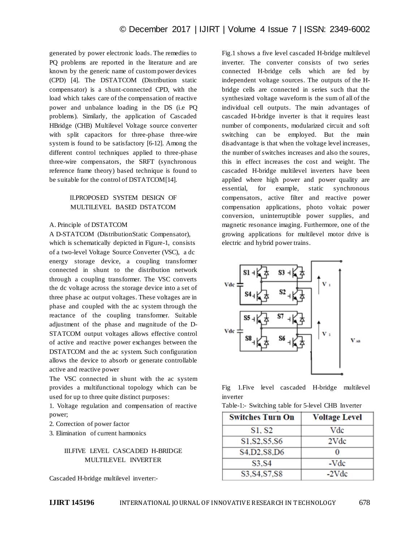generated by power electronic loads. The remedies to PQ problems are reported in the literature and are known by the generic name of custom power devices (CPD) [4]. The DSTATCOM (Distribution static compensator) is a shunt-connected CPD, with the load which takes care of the compensation of reactive power and unbalance loading in the DS (i.e PQ problems). Similarly, the application of Cascaded HBridge (CHB) Multilevel Voltage source converter with split capacitors for three-phase three-wire system is found to be satisfactory [6-12]. Among the different control techniques applied to three-phase three-wire compensators, the SRFT (synchronous reference frame theory) based technique is found to be suitable for the control of DSTATCOM[14].

## II.PROPOSED SYSTEM DESIGN OF MULTILEVEL BASED DSTATCOM

#### A. Principle of DSTATCOM

A D-STATCOM (DistributionStatic Compensator), which is schematically depicted in Figure-1, consists of a two-level Voltage Source Converter (VSC), a dc energy storage device, a coupling transformer connected in shunt to the distribution network through a coupling transformer. The VSC converts the dc voltage across the storage device into a set of three phase ac output voltages. These voltages are in phase and coupled with the ac system through the reactance of the coupling transformer. Suitable adjustment of the phase and magnitude of the D-STATCOM output voltages allows effective control of active and reactive power exchanges between the DSTATCOM and the ac system. Such configuration allows the device to absorb or generate controllable active and reactive power

The VSC connected in shunt with the ac system provides a multifunctional topology which can be used for up to three quite distinct purposes:

1. Voltage regulation and compensation of reactive power;

2. Correction of power factor

3. Elimination of current harmonics

### III.FIVE LEVEL CASCADED H-BRIDGE MULTILEVEL INVERTER

Cascaded H-bridge multilevel inverter:-

Fig.1 shows a five level cascaded H-bridge multilevel inverter. The converter consists of two series connected H-bridge cells which are fed by independent voltage sources. The outputs of the Hbridge cells are connected in series such that the synthesized voltage waveform is the sum of all of the individual cell outputs. The main advantages of cascaded H-bridge inverter is that it requires least number of components, modularized circuit and soft switching can be employed. But the main disadvantage is that when the voltage level increases, the number of switches increases and also the soures, this in effect increases the cost and weight. The cascaded H-bridge multilevel inverters have been applied where high power and power quality are essential, for example, static synchronous compensators, active filter and reactive power compensation applications, photo voltaic power conversion, uninterruptible power supplies, and magnetic resonance imaging. Furthermore, one of the growing applications for multilevel motor drive is electric and hybrid power trains.



Fig 1.Five level cascaded H-bridge multilevel inverter

| <b>Switches Turn On</b> | <b>Voltage Level</b> |
|-------------------------|----------------------|
| S1, S2                  | Vdc                  |
| S1, S2, S5, S6          | 2Vdc                 |
| S4,D2,S8,D6             |                      |
| S3, S4                  | -Vdc                 |
| S3, S4, S7, S8          | $-2Vdc$              |

Table-1:- Switching table for 5-level CHB Inverter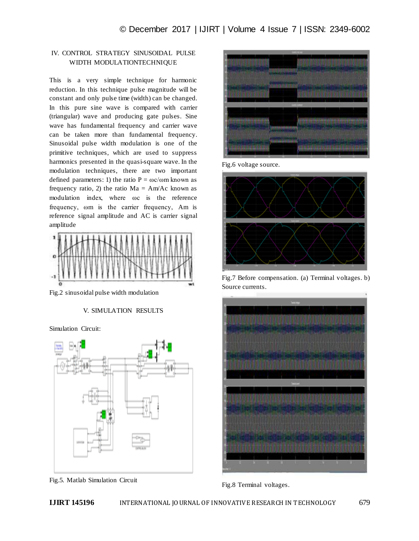# IV. CONTROL STRATEGY SINUSOIDAL PULSE WIDTH MODULATIONTECHNIQUE

This is a very simple technique for harmonic reduction. In this technique pulse magnitude will be constant and only pulse time (width) can be changed. In this pure sine wave is compared with carrier (triangular) wave and producing gate pulses. Sine wave has fundamental frequency and carrier wave can be taken more than fundamental frequency. Sinusoidal pulse width modulation is one of the primitive techniques, which are used to suppress harmonics presented in the quasi-square wave. In the modulation techniques, there are two important defined parameters: 1) the ratio  $P = \omega c/\omega m$  known as frequency ratio, 2) the ratio  $Ma = Am/Ac$  known as modulation index, where ωc is the reference frequency, ωm is the carrier frequency, Am is reference signal amplitude and AC is carrier signal amplitude



Fig.2 sinusoidal pulse width modulation

V. SIMULATION RESULTS

Simulation Circuit:



Fig.5. Matlab Simulation Circuit



Fig.6 voltage source.



Fig.7 Before compensation. (a) Terminal voltages. b) Source currents.



Fig.8 Terminal voltages.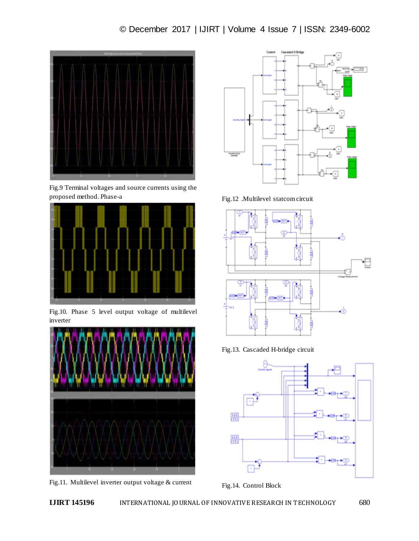

Fig.9 Terminal voltages and source currents using the proposed method. Phase-a



Fig.10. Phase 5 level output voltage of multilevel inverter



Fig.11. Multilevel inverter output voltage & current



Fig.12 .Multilevel statcom circuit